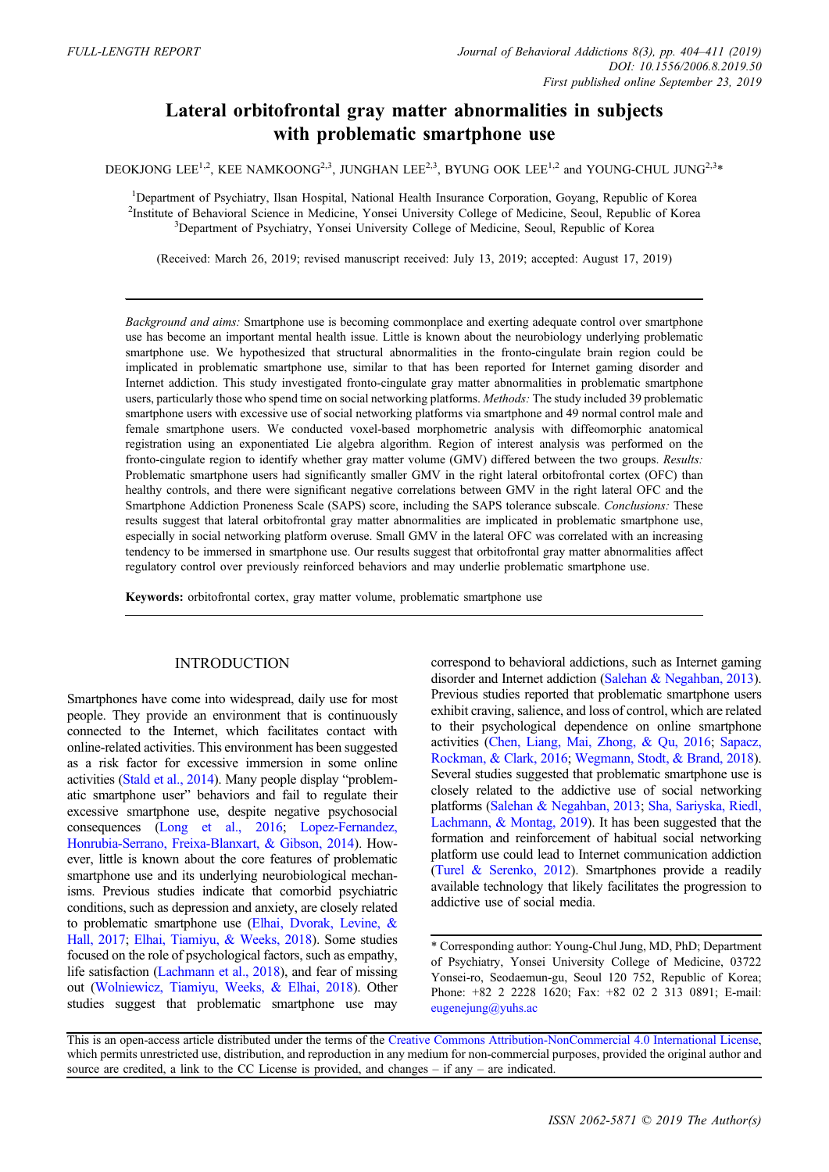# Lateral orbitofrontal gray matter abnormalities in subjects with problematic smartphone use

DEOKJONG LEE<sup>1,2</sup>, KEE NAMKOONG<sup>2,3</sup>, JUNGHAN LEE<sup>2,3</sup>, BYUNG OOK LEE<sup>1,2</sup> and YOUNG-CHUL JUNG<sup>2,3\*</sup>

<sup>1</sup>Department of Psychiatry, Ilsan Hospital, National Health Insurance Corporation, Goyang, Republic of Korea <sup>2</sup>Institute of Behavioral Science in Medicine, Yonsei University College of Medicine, Seoul, Republic of Korea <sup>3</sup><br><sup>3</sup>Department of Baychistry, Voncei University College of Medicine, Seoul, Benublic of Korea <sup>3</sup>Department of Psychiatry, Yonsei University College of Medicine, Seoul, Republic of Korea

(Received: March 26, 2019; revised manuscript received: July 13, 2019; accepted: August 17, 2019)

Background and aims: Smartphone use is becoming commonplace and exerting adequate control over smartphone use has become an important mental health issue. Little is known about the neurobiology underlying problematic smartphone use. We hypothesized that structural abnormalities in the fronto-cingulate brain region could be implicated in problematic smartphone use, similar to that has been reported for Internet gaming disorder and Internet addiction. This study investigated fronto-cingulate gray matter abnormalities in problematic smartphone users, particularly those who spend time on social networking platforms. Methods: The study included 39 problematic smartphone users with excessive use of social networking platforms via smartphone and 49 normal control male and female smartphone users. We conducted voxel-based morphometric analysis with diffeomorphic anatomical registration using an exponentiated Lie algebra algorithm. Region of interest analysis was performed on the fronto-cingulate region to identify whether gray matter volume (GMV) differed between the two groups. Results: Problematic smartphone users had significantly smaller GMV in the right lateral orbitofrontal cortex (OFC) than healthy controls, and there were significant negative correlations between GMV in the right lateral OFC and the Smartphone Addiction Proneness Scale (SAPS) score, including the SAPS tolerance subscale. Conclusions: These results suggest that lateral orbitofrontal gray matter abnormalities are implicated in problematic smartphone use, especially in social networking platform overuse. Small GMV in the lateral OFC was correlated with an increasing tendency to be immersed in smartphone use. Our results suggest that orbitofrontal gray matter abnormalities affect regulatory control over previously reinforced behaviors and may underlie problematic smartphone use.

Keywords: orbitofrontal cortex, gray matter volume, problematic smartphone use

## INTRODUCTION

Smartphones have come into widespread, daily use for most people. They provide an environment that is continuously connected to the Internet, which facilitates contact with online-related activities. This environment has been suggested as a risk factor for excessive immersion in some online activities [\(Stald et al., 2014\)](#page-7-0). Many people display "problematic smartphone user" behaviors and fail to regulate their excessive smartphone use, despite negative psychosocial consequences [\(Long et al., 2016](#page-6-0); [Lopez-Fernandez,](#page-6-0) [Honrubia-Serrano, Freixa-Blanxart, & Gibson, 2014](#page-6-0)). However, little is known about the core features of problematic smartphone use and its underlying neurobiological mechanisms. Previous studies indicate that comorbid psychiatric conditions, such as depression and anxiety, are closely related to problematic smartphone use [\(Elhai, Dvorak, Levine, &](#page-6-0) [Hall, 2017](#page-6-0); [Elhai, Tiamiyu, & Weeks, 2018](#page-6-0)). Some studies focused on the role of psychological factors, such as empathy, life satisfaction [\(Lachmann et al., 2018](#page-6-0)), and fear of missing out [\(Wolniewicz, Tiamiyu, Weeks, & Elhai, 2018\)](#page-7-0). Other studies suggest that problematic smartphone use may correspond to behavioral addictions, such as Internet gaming disorder and Internet addiction [\(Salehan & Negahban, 2013](#page-6-0)). Previous studies reported that problematic smartphone users exhibit craving, salience, and loss of control, which are related to their psychological dependence on online smartphone activities [\(Chen, Liang, Mai, Zhong, & Qu, 2016;](#page-5-0) [Sapacz,](#page-7-0) [Rockman, & Clark, 2016;](#page-7-0) [Wegmann, Stodt, & Brand, 2018](#page-7-0)). Several studies suggested that problematic smartphone use is closely related to the addictive use of social networking platforms [\(Salehan & Negahban, 2013](#page-6-0); [Sha, Sariyska, Riedl,](#page-7-0) [Lachmann, & Montag, 2019\)](#page-7-0). It has been suggested that the formation and reinforcement of habitual social networking platform use could lead to Internet communication addiction ([Turel & Serenko, 2012](#page-7-0)). Smartphones provide a readily available technology that likely facilitates the progression to addictive use of social media.

<sup>\*</sup> Corresponding author: Young-Chul Jung, MD, PhD; Department of Psychiatry, Yonsei University College of Medicine, 03722 Yonsei-ro, Seodaemun-gu, Seoul 120 752, Republic of Korea; Phone: +82 2 2228 1620; Fax: +82 02 2 313 0891; E-mail: [eugenejung@yuhs.ac](mailto:eugenejung@yuhs.ac)

This is an open-access article distributed under the terms of the [Creative Commons Attribution-NonCommercial 4.0 International License,](http://creativecommons.org/licenses/by-nc/4.0/) which permits unrestricted use, distribution, and reproduction in any medium for non-commercial purposes, provided the original author and source are credited, a link to the CC License is provided, and changes – if any – are indicated.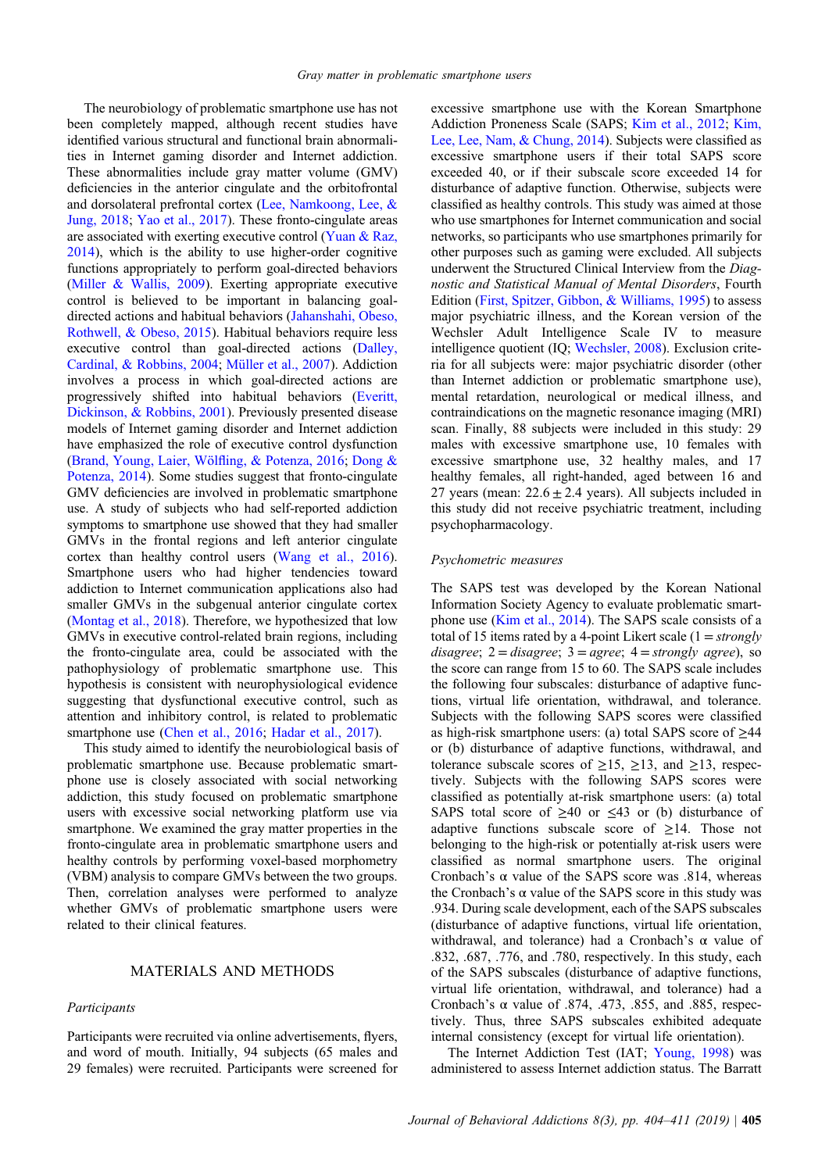The neurobiology of problematic smartphone use has not been completely mapped, although recent studies have identified various structural and functional brain abnormalities in Internet gaming disorder and Internet addiction. These abnormalities include gray matter volume (GMV) deficiencies in the anterior cingulate and the orbitofrontal and dorsolateral prefrontal cortex ([Lee, Namkoong, Lee, &](#page-6-0) [Jung, 2018;](#page-6-0) [Yao et al., 2017](#page-7-0)). These fronto-cingulate areas are associated with exerting executive control ([Yuan & Raz,](#page-7-0) [2014](#page-7-0)), which is the ability to use higher-order cognitive functions appropriately to perform goal-directed behaviors [\(Miller & Wallis, 2009](#page-6-0)). Exerting appropriate executive control is believed to be important in balancing goaldirected actions and habitual behaviors [\(Jahanshahi, Obeso,](#page-6-0) [Rothwell, & Obeso, 2015](#page-6-0)). Habitual behaviors require less executive control than goal-directed actions ([Dalley,](#page-6-0) [Cardinal, & Robbins, 2004;](#page-6-0) [Müller et al., 2007](#page-6-0)). Addiction involves a process in which goal-directed actions are progressively shifted into habitual behaviors [\(Everitt,](#page-6-0) [Dickinson, & Robbins, 2001\)](#page-6-0). Previously presented disease models of Internet gaming disorder and Internet addiction have emphasized the role of executive control dysfunction [\(Brand, Young, Laier, Wöl](#page-5-0)fling, & Potenza, 2016; [Dong &](#page-6-0) [Potenza, 2014](#page-6-0)). Some studies suggest that fronto-cingulate GMV deficiencies are involved in problematic smartphone use. A study of subjects who had self-reported addiction symptoms to smartphone use showed that they had smaller GMVs in the frontal regions and left anterior cingulate cortex than healthy control users ([Wang et al., 2016\)](#page-7-0). Smartphone users who had higher tendencies toward addiction to Internet communication applications also had smaller GMVs in the subgenual anterior cingulate cortex [\(Montag et al., 2018](#page-6-0)). Therefore, we hypothesized that low GMVs in executive control-related brain regions, including the fronto-cingulate area, could be associated with the pathophysiology of problematic smartphone use. This hypothesis is consistent with neurophysiological evidence suggesting that dysfunctional executive control, such as attention and inhibitory control, is related to problematic smartphone use ([Chen et al., 2016;](#page-5-0) [Hadar et al., 2017\)](#page-6-0).

This study aimed to identify the neurobiological basis of problematic smartphone use. Because problematic smartphone use is closely associated with social networking addiction, this study focused on problematic smartphone users with excessive social networking platform use via smartphone. We examined the gray matter properties in the fronto-cingulate area in problematic smartphone users and healthy controls by performing voxel-based morphometry (VBM) analysis to compare GMVs between the two groups. Then, correlation analyses were performed to analyze whether GMVs of problematic smartphone users were related to their clinical features.

## MATERIALS AND METHODS

#### Participants

Participants were recruited via online advertisements, flyers, and word of mouth. Initially, 94 subjects (65 males and 29 females) were recruited. Participants were screened for excessive smartphone use with the Korean Smartphone Addiction Proneness Scale (SAPS; [Kim et al., 2012;](#page-6-0) [Kim,](#page-6-0) [Lee, Lee, Nam, & Chung, 2014](#page-6-0)). Subjects were classified as excessive smartphone users if their total SAPS score exceeded 40, or if their subscale score exceeded 14 for disturbance of adaptive function. Otherwise, subjects were classified as healthy controls. This study was aimed at those who use smartphones for Internet communication and social networks, so participants who use smartphones primarily for other purposes such as gaming were excluded. All subjects underwent the Structured Clinical Interview from the Diagnostic and Statistical Manual of Mental Disorders, Fourth Edition ([First, Spitzer, Gibbon, & Williams, 1995\)](#page-6-0) to assess major psychiatric illness, and the Korean version of the Wechsler Adult Intelligence Scale IV to measure intelligence quotient (IQ; [Wechsler, 2008](#page-7-0)). Exclusion criteria for all subjects were: major psychiatric disorder (other than Internet addiction or problematic smartphone use), mental retardation, neurological or medical illness, and contraindications on the magnetic resonance imaging (MRI) scan. Finally, 88 subjects were included in this study: 29 males with excessive smartphone use, 10 females with excessive smartphone use, 32 healthy males, and 17 healthy females, all right-handed, aged between 16 and 27 years (mean:  $22.6 \pm 2.4$  years). All subjects included in this study did not receive psychiatric treatment, including psychopharmacology.

#### Psychometric measures

The SAPS test was developed by the Korean National Information Society Agency to evaluate problematic smartphone use [\(Kim et al., 2014](#page-6-0)). The SAPS scale consists of a total of 15 items rated by a 4-point Likert scale  $(1 = strongly$ disagree;  $2 =$  disagree;  $3 =$  agree;  $4 =$  strongly agree), so the score can range from 15 to 60. The SAPS scale includes the following four subscales: disturbance of adaptive functions, virtual life orientation, withdrawal, and tolerance. Subjects with the following SAPS scores were classified as high-risk smartphone users: (a) total SAPS score of  $\geq$ 44 or (b) disturbance of adaptive functions, withdrawal, and tolerance subscale scores of  $\geq 15$ ,  $\geq 13$ , and  $\geq 13$ , respectively. Subjects with the following SAPS scores were classified as potentially at-risk smartphone users: (a) total SAPS total score of  $\geq 40$  or  $\leq 43$  or (b) disturbance of adaptive functions subscale score of  $\geq$ 14. Those not belonging to the high-risk or potentially at-risk users were classified as normal smartphone users. The original Cronbach's  $\alpha$  value of the SAPS score was .814, whereas the Cronbach's  $\alpha$  value of the SAPS score in this study was .934. During scale development, each of the SAPS subscales (disturbance of adaptive functions, virtual life orientation, withdrawal, and tolerance) had a Cronbach's  $\alpha$  value of .832, .687, .776, and .780, respectively. In this study, each of the SAPS subscales (disturbance of adaptive functions, virtual life orientation, withdrawal, and tolerance) had a Cronbach's  $\alpha$  value of .874, .473, .855, and .885, respectively. Thus, three SAPS subscales exhibited adequate internal consistency (except for virtual life orientation).

The Internet Addiction Test (IAT; [Young, 1998\)](#page-7-0) was administered to assess Internet addiction status. The Barratt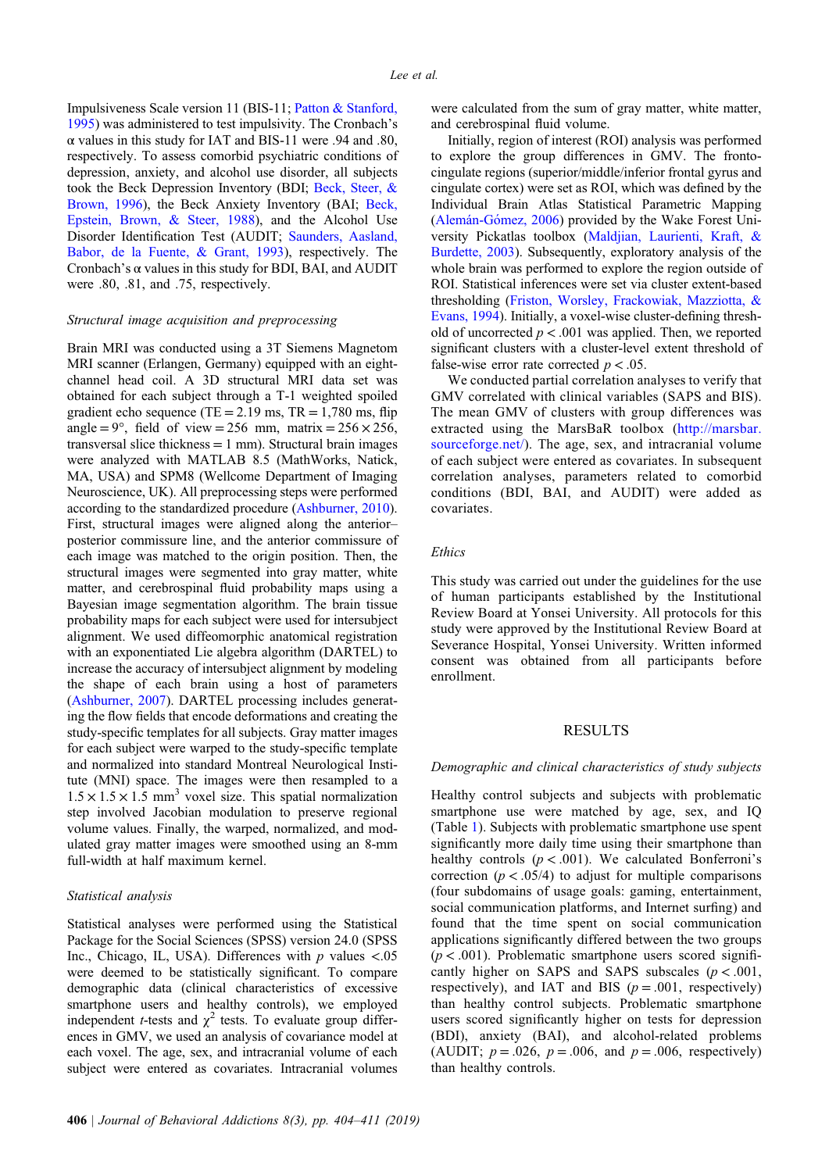Impulsiveness Scale version 11 (BIS-11; [Patton & Stanford,](#page-6-0) [1995](#page-6-0)) was administered to test impulsivity. The Cronbach's α values in this study for IAT and BIS-11 were .94 and .80, respectively. To assess comorbid psychiatric conditions of depression, anxiety, and alcohol use disorder, all subjects took the Beck Depression Inventory (BDI; [Beck, Steer, &](#page-5-0) [Brown, 1996\)](#page-5-0), the Beck Anxiety Inventory (BAI; [Beck,](#page-5-0) [Epstein, Brown, & Steer, 1988](#page-5-0)), and the Alcohol Use Disorder Identification Test (AUDIT; [Saunders, Aasland,](#page-7-0) [Babor, de la Fuente, & Grant, 1993](#page-7-0)), respectively. The Cronbach's  $\alpha$  values in this study for BDI, BAI, and AUDIT were .80, .81, and .75, respectively.

## Structural image acquisition and preprocessing

Brain MRI was conducted using a 3T Siemens Magnetom MRI scanner (Erlangen, Germany) equipped with an eightchannel head coil. A 3D structural MRI data set was obtained for each subject through a T-1 weighted spoiled gradient echo sequence (TE =  $2.19$  ms, TR =  $1,780$  ms, flip angle =  $9^{\circ}$ , field of view = 256 mm, matrix = 256  $\times$  256, transversal slice thickness  $= 1$  mm). Structural brain images were analyzed with MATLAB 8.5 (MathWorks, Natick, MA, USA) and SPM8 (Wellcome Department of Imaging Neuroscience, UK). All preprocessing steps were performed according to the standardized procedure ([Ashburner, 2010\)](#page-5-0). First, structural images were aligned along the anterior– posterior commissure line, and the anterior commissure of each image was matched to the origin position. Then, the structural images were segmented into gray matter, white matter, and cerebrospinal fluid probability maps using a Bayesian image segmentation algorithm. The brain tissue probability maps for each subject were used for intersubject alignment. We used diffeomorphic anatomical registration with an exponentiated Lie algebra algorithm (DARTEL) to increase the accuracy of intersubject alignment by modeling the shape of each brain using a host of parameters [\(Ashburner, 2007](#page-5-0)). DARTEL processing includes generating the flow fields that encode deformations and creating the study-specific templates for all subjects. Gray matter images for each subject were warped to the study-specific template and normalized into standard Montreal Neurological Institute (MNI) space. The images were then resampled to a  $1.5 \times 1.5 \times 1.5$  mm<sup>3</sup> voxel size. This spatial normalization step involved Jacobian modulation to preserve regional volume values. Finally, the warped, normalized, and modulated gray matter images were smoothed using an 8-mm full-width at half maximum kernel.

#### Statistical analysis

Statistical analyses were performed using the Statistical Package for the Social Sciences (SPSS) version 24.0 (SPSS Inc., Chicago, IL, USA). Differences with  $p$  values <.05 were deemed to be statistically significant. To compare demographic data (clinical characteristics of excessive smartphone users and healthy controls), we employed independent *t*-tests and  $\chi^2$  tests. To evaluate group differences in GMV, we used an analysis of covariance model at each voxel. The age, sex, and intracranial volume of each subject were entered as covariates. Intracranial volumes were calculated from the sum of gray matter, white matter, and cerebrospinal fluid volume.

Initially, region of interest (ROI) analysis was performed to explore the group differences in GMV. The frontocingulate regions (superior/middle/inferior frontal gyrus and cingulate cortex) were set as ROI, which was defined by the Individual Brain Atlas Statistical Parametric Mapping ([Alemán-G](#page-5-0)ómez, 2006) provided by the Wake Forest University Pickatlas toolbox ([Maldjian, Laurienti, Kraft, &](#page-6-0) [Burdette, 2003\)](#page-6-0). Subsequently, exploratory analysis of the whole brain was performed to explore the region outside of ROI. Statistical inferences were set via cluster extent-based thresholding [\(Friston, Worsley, Frackowiak, Mazziotta, &](#page-6-0) [Evans, 1994\)](#page-6-0). Initially, a voxel-wise cluster-defining threshold of uncorrected  $p < .001$  was applied. Then, we reported significant clusters with a cluster-level extent threshold of false-wise error rate corrected  $p < .05$ .

We conducted partial correlation analyses to verify that GMV correlated with clinical variables (SAPS and BIS). The mean GMV of clusters with group differences was extracted using the MarsBaR toolbox ([http://marsbar.](http://marsbar.sourceforge.net/) [sourceforge.net/\)](http://marsbar.sourceforge.net/). The age, sex, and intracranial volume of each subject were entered as covariates. In subsequent correlation analyses, parameters related to comorbid conditions (BDI, BAI, and AUDIT) were added as covariates.

#### Ethics

This study was carried out under the guidelines for the use of human participants established by the Institutional Review Board at Yonsei University. All protocols for this study were approved by the Institutional Review Board at Severance Hospital, Yonsei University. Written informed consent was obtained from all participants before enrollment.

## RESULTS

#### Demographic and clinical characteristics of study subjects

Healthy control subjects and subjects with problematic smartphone use were matched by age, sex, and IQ (Table [1\)](#page-3-0). Subjects with problematic smartphone use spent significantly more daily time using their smartphone than healthy controls  $(p < .001)$ . We calculated Bonferroni's correction ( $p < .05/4$ ) to adjust for multiple comparisons (four subdomains of usage goals: gaming, entertainment, social communication platforms, and Internet surfing) and found that the time spent on social communication applications significantly differed between the two groups  $(p < .001)$ . Problematic smartphone users scored significantly higher on SAPS and SAPS subscales  $(p < .001, )$ respectively), and IAT and BIS  $(p = .001$ , respectively) than healthy control subjects. Problematic smartphone users scored significantly higher on tests for depression (BDI), anxiety (BAI), and alcohol-related problems (AUDIT;  $p = .026$ ,  $p = .006$ , and  $p = .006$ , respectively) than healthy controls.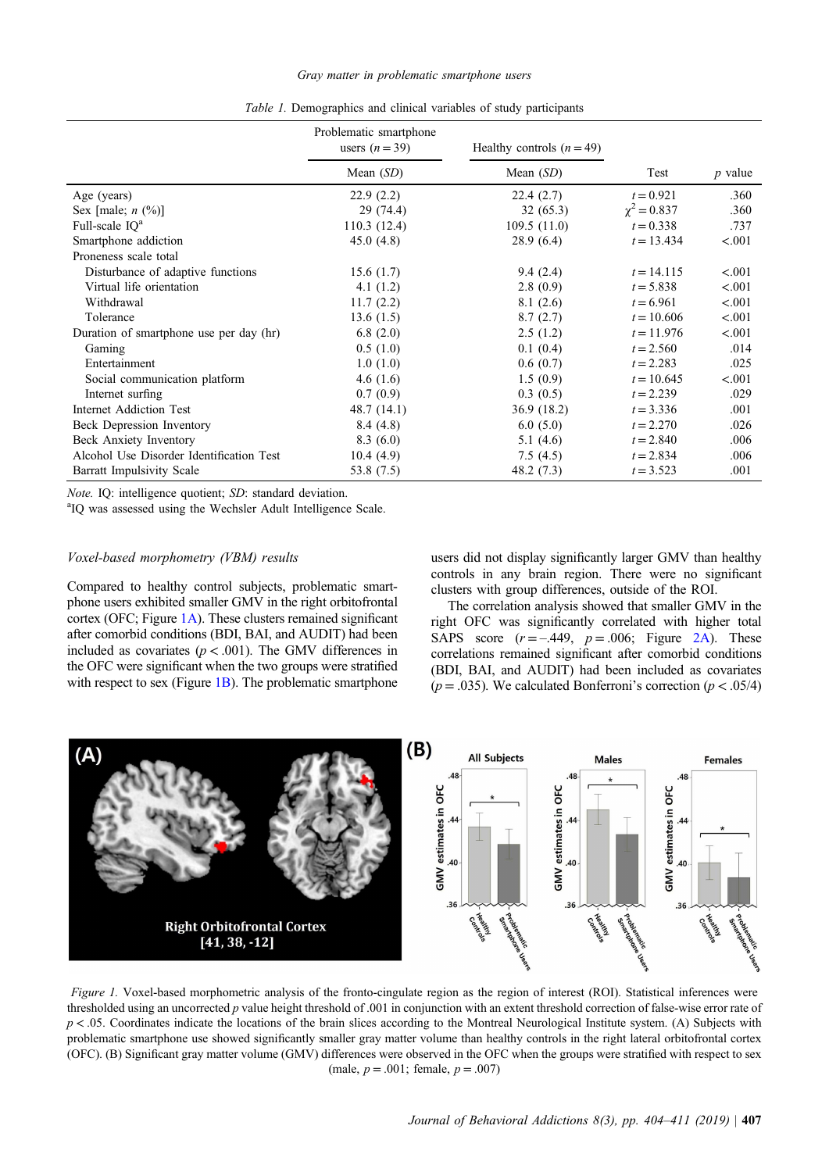<span id="page-3-0"></span>

|                                          | Problematic smartphone<br>users $(n=39)$ | Healthy controls $(n = 49)$ |                  |           |
|------------------------------------------|------------------------------------------|-----------------------------|------------------|-----------|
|                                          | Mean $(SD)$                              | Mean $(SD)$                 | Test             | $p$ value |
| Age (years)                              | 22.9(2.2)                                | 22.4(2.7)                   | $t = 0.921$      | .360      |
| Sex [male; $n$ (%)]                      | 29(74.4)                                 | 32(65.3)                    | $\chi^2 = 0.837$ | .360      |
| Full-scale $IQ^a$                        | 110.3(12.4)                              | 109.5(11.0)                 | $t = 0.338$      | .737      |
| Smartphone addiction                     | 45.0(4.8)                                | 28.9(6.4)                   | $t = 13.434$     | < .001    |
| Proneness scale total                    |                                          |                             |                  |           |
| Disturbance of adaptive functions        | 15.6(1.7)                                | 9.4(2.4)                    | $t = 14.115$     | < .001    |
| Virtual life orientation                 | 4.1 $(1.2)$                              | 2.8(0.9)                    | $t = 5.838$      | < .001    |
| Withdrawal                               | 11.7(2.2)                                | 8.1(2.6)                    | $t = 6.961$      | < .001    |
| Tolerance                                | 13.6(1.5)                                | 8.7(2.7)                    | $t = 10.606$     | < .001    |
| Duration of smartphone use per day (hr)  | 6.8(2.0)                                 | 2.5(1.2)                    | $t = 11.976$     | < .001    |
| Gaming                                   | 0.5(1.0)                                 | 0.1(0.4)                    | $t = 2.560$      | .014      |
| Entertainment                            | 1.0(1.0)                                 | 0.6(0.7)                    | $t = 2.283$      | .025      |
| Social communication platform            | 4.6 $(1.6)$                              | 1.5(0.9)                    | $t = 10.645$     | < .001    |
| Internet surfing                         | 0.7(0.9)                                 | 0.3(0.5)                    | $t = 2.239$      | .029      |
| Internet Addiction Test                  | 48.7 (14.1)                              | 36.9 (18.2)                 | $t = 3.336$      | .001      |
| Beck Depression Inventory                | 8.4(4.8)                                 | 6.0(5.0)                    | $t = 2.270$      | .026      |
| Beck Anxiety Inventory                   | 8.3(6.0)                                 | 5.1(4.6)                    | $t = 2.840$      | .006      |
| Alcohol Use Disorder Identification Test | 10.4(4.9)                                | 7.5(4.5)                    | $t = 2.834$      | .006      |
| Barratt Impulsivity Scale                | 53.8 $(7.5)$                             | 48.2 $(7.3)$                | $t = 3.523$      | .001      |

Table 1. Demographics and clinical variables of study participants

 $Note.$  IQ: intelligence quotient;  $SD$ : standard deviation.

<sup>a</sup>IQ was assessed using the Wechsler Adult Intelligence Scale.

### Voxel-based morphometry (VBM) results

Compared to healthy control subjects, problematic smartphone users exhibited smaller GMV in the right orbitofrontal cortex (OFC; Figure 1A). These clusters remained significant after comorbid conditions (BDI, BAI, and AUDIT) had been included as covariates ( $p < .001$ ). The GMV differences in the OFC were significant when the two groups were stratified with respect to sex (Figure 1B). The problematic smartphone

users did not display significantly larger GMV than healthy controls in any brain region. There were no significant clusters with group differences, outside of the ROI.

The correlation analysis showed that smaller GMV in the right OFC was significantly correlated with higher total SAPS score  $(r = -.449, p = .006;$  Figure [2A\)](#page-4-0). These correlations remained significant after comorbid conditions (BDI, BAI, and AUDIT) had been included as covariates ( $p = .035$ ). We calculated Bonferroni's correction ( $p < .05/4$ )



Figure 1. Voxel-based morphometric analysis of the fronto-cingulate region as the region of interest (ROI). Statistical inferences were thresholded using an uncorrected p value height threshold of .001 in conjunction with an extent threshold correction of false-wise error rate of  $p < 0.05$ . Coordinates indicate the locations of the brain slices according to the Montreal Neurological Institute system. (A) Subjects with problematic smartphone use showed significantly smaller gray matter volume than healthy controls in the right lateral orbitofrontal cortex (OFC). (B) Significant gray matter volume (GMV) differences were observed in the OFC when the groups were stratified with respect to sex (male,  $p = .001$ ; female,  $p = .007$ )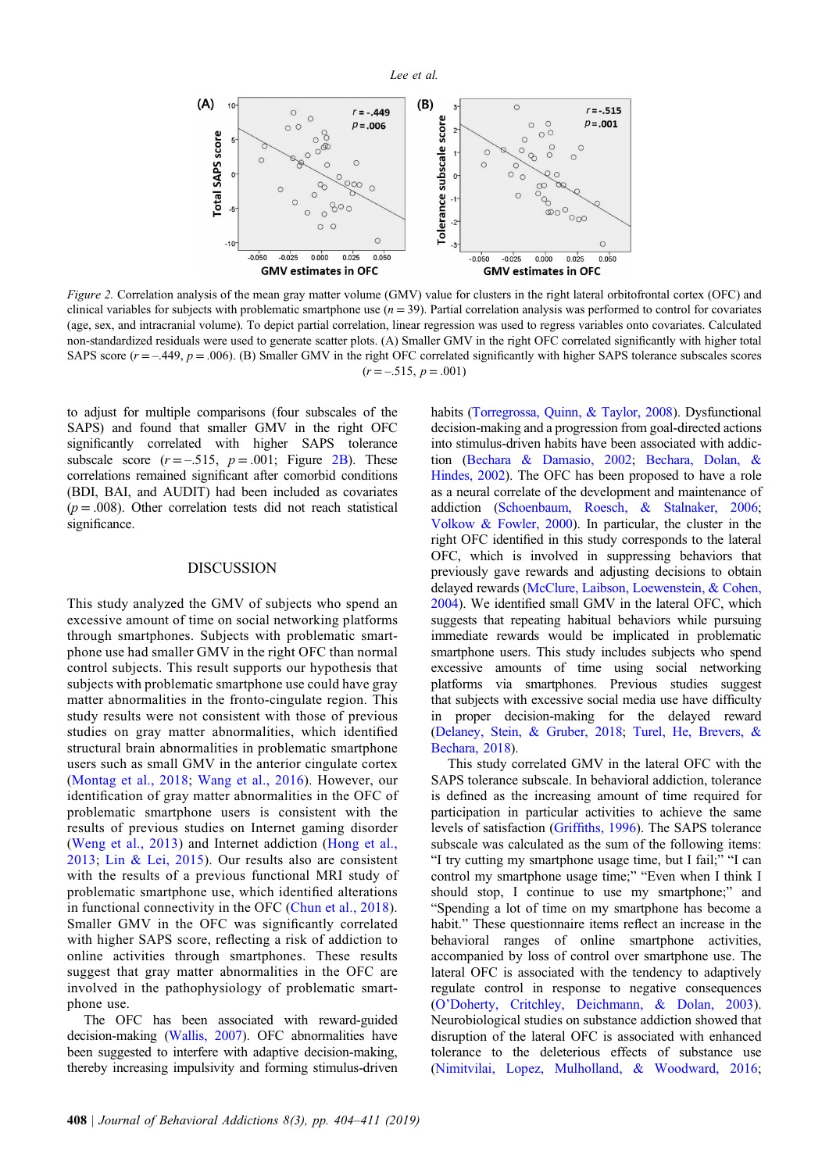<span id="page-4-0"></span>

Figure 2. Correlation analysis of the mean gray matter volume (GMV) value for clusters in the right lateral orbitofrontal cortex (OFC) and clinical variables for subjects with problematic smartphone use  $(n = 39)$ . Partial correlation analysis was performed to control for covariates (age, sex, and intracranial volume). To depict partial correlation, linear regression was used to regress variables onto covariates. Calculated non-standardized residuals were used to generate scatter plots. (A) Smaller GMV in the right OFC correlated significantly with higher total SAPS score  $(r = -0.449, p = 0.006)$ . (B) Smaller GMV in the right OFC correlated significantly with higher SAPS tolerance subscales scores  $(r = -.515, p = .001)$ 

to adjust for multiple comparisons (four subscales of the SAPS) and found that smaller GMV in the right OFC significantly correlated with higher SAPS tolerance subscale score  $(r = -.515, p = .001;$  Figure 2B). These correlations remained significant after comorbid conditions (BDI, BAI, and AUDIT) had been included as covariates  $(p = .008)$ . Other correlation tests did not reach statistical significance.

#### DISCUSSION

This study analyzed the GMV of subjects who spend an excessive amount of time on social networking platforms through smartphones. Subjects with problematic smartphone use had smaller GMV in the right OFC than normal control subjects. This result supports our hypothesis that subjects with problematic smartphone use could have gray matter abnormalities in the fronto-cingulate region. This study results were not consistent with those of previous studies on gray matter abnormalities, which identified structural brain abnormalities in problematic smartphone users such as small GMV in the anterior cingulate cortex ([Montag et al., 2018](#page-6-0); [Wang et al., 2016](#page-7-0)). However, our identification of gray matter abnormalities in the OFC of problematic smartphone users is consistent with the results of previous studies on Internet gaming disorder ([Weng et al., 2013](#page-7-0)) and Internet addiction ([Hong et al.,](#page-6-0) [2013;](#page-6-0) [Lin & Lei, 2015\)](#page-6-0). Our results also are consistent with the results of a previous functional MRI study of problematic smartphone use, which identified alterations in functional connectivity in the OFC ([Chun et al., 2018\)](#page-5-0). Smaller GMV in the OFC was significantly correlated with higher SAPS score, reflecting a risk of addiction to online activities through smartphones. These results suggest that gray matter abnormalities in the OFC are involved in the pathophysiology of problematic smartphone use.

The OFC has been associated with reward-guided decision-making [\(Wallis, 2007\)](#page-7-0). OFC abnormalities have been suggested to interfere with adaptive decision-making, thereby increasing impulsivity and forming stimulus-driven habits [\(Torregrossa, Quinn, & Taylor, 2008](#page-7-0)). Dysfunctional decision-making and a progression from goal-directed actions into stimulus-driven habits have been associated with addiction [\(Bechara & Damasio, 2002;](#page-5-0) [Bechara, Dolan, &](#page-5-0) [Hindes, 2002\)](#page-5-0). The OFC has been proposed to have a role as a neural correlate of the development and maintenance of addiction [\(Schoenbaum, Roesch, & Stalnaker, 2006](#page-7-0); [Volkow & Fowler, 2000](#page-7-0)). In particular, the cluster in the right OFC identified in this study corresponds to the lateral OFC, which is involved in suppressing behaviors that previously gave rewards and adjusting decisions to obtain delayed rewards ([McClure, Laibson, Loewenstein, & Cohen,](#page-6-0) [2004](#page-6-0)). We identified small GMV in the lateral OFC, which suggests that repeating habitual behaviors while pursuing immediate rewards would be implicated in problematic smartphone users. This study includes subjects who spend excessive amounts of time using social networking platforms via smartphones. Previous studies suggest that subjects with excessive social media use have difficulty in proper decision-making for the delayed reward ([Delaney, Stein, & Gruber, 2018](#page-6-0); [Turel, He, Brevers, &](#page-7-0) [Bechara, 2018\)](#page-7-0).

This study correlated GMV in the lateral OFC with the SAPS tolerance subscale. In behavioral addiction, tolerance is defined as the increasing amount of time required for participation in particular activities to achieve the same levels of satisfaction (Griffi[ths, 1996](#page-6-0)). The SAPS tolerance subscale was calculated as the sum of the following items: "I try cutting my smartphone usage time, but I fail;" "I can control my smartphone usage time;" "Even when I think I should stop, I continue to use my smartphone;" and "Spending a lot of time on my smartphone has become a habit." These questionnaire items reflect an increase in the behavioral ranges of online smartphone activities, accompanied by loss of control over smartphone use. The lateral OFC is associated with the tendency to adaptively regulate control in response to negative consequences (O'[Doherty, Critchley, Deichmann, & Dolan, 2003](#page-6-0)). Neurobiological studies on substance addiction showed that disruption of the lateral OFC is associated with enhanced tolerance to the deleterious effects of substance use ([Nimitvilai, Lopez, Mulholland, & Woodward, 2016](#page-6-0);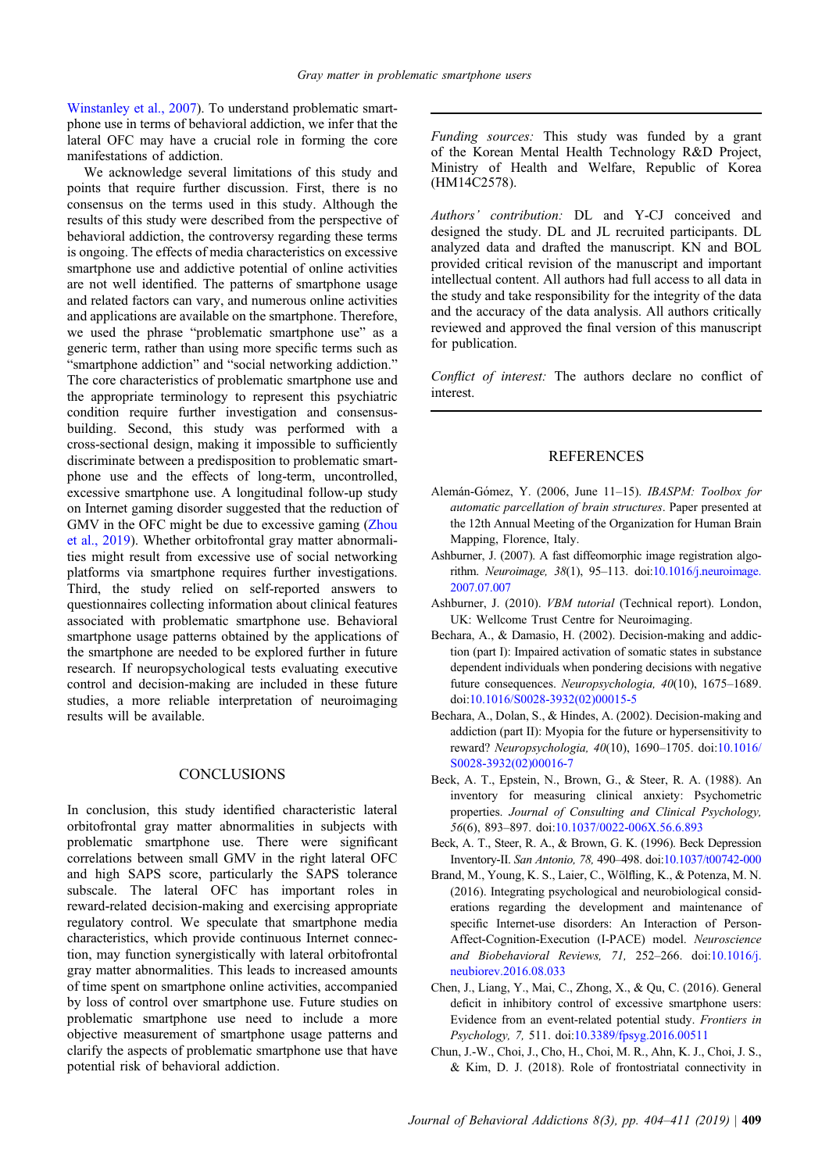<span id="page-5-0"></span>[Winstanley et al., 2007](#page-7-0)). To understand problematic smartphone use in terms of behavioral addiction, we infer that the lateral OFC may have a crucial role in forming the core manifestations of addiction.

We acknowledge several limitations of this study and points that require further discussion. First, there is no consensus on the terms used in this study. Although the results of this study were described from the perspective of behavioral addiction, the controversy regarding these terms is ongoing. The effects of media characteristics on excessive smartphone use and addictive potential of online activities are not well identified. The patterns of smartphone usage and related factors can vary, and numerous online activities and applications are available on the smartphone. Therefore, we used the phrase "problematic smartphone use" as a generic term, rather than using more specific terms such as "smartphone addiction" and "social networking addiction." The core characteristics of problematic smartphone use and the appropriate terminology to represent this psychiatric condition require further investigation and consensusbuilding. Second, this study was performed with a cross-sectional design, making it impossible to sufficiently discriminate between a predisposition to problematic smartphone use and the effects of long-term, uncontrolled, excessive smartphone use. A longitudinal follow-up study on Internet gaming disorder suggested that the reduction of GMV in the OFC might be due to excessive gaming ([Zhou](#page-7-0) [et al., 2019\)](#page-7-0). Whether orbitofrontal gray matter abnormalities might result from excessive use of social networking platforms via smartphone requires further investigations. Third, the study relied on self-reported answers to questionnaires collecting information about clinical features associated with problematic smartphone use. Behavioral smartphone usage patterns obtained by the applications of the smartphone are needed to be explored further in future research. If neuropsychological tests evaluating executive control and decision-making are included in these future studies, a more reliable interpretation of neuroimaging results will be available.

# **CONCLUSIONS**

In conclusion, this study identified characteristic lateral orbitofrontal gray matter abnormalities in subjects with problematic smartphone use. There were significant correlations between small GMV in the right lateral OFC and high SAPS score, particularly the SAPS tolerance subscale. The lateral OFC has important roles in reward-related decision-making and exercising appropriate regulatory control. We speculate that smartphone media characteristics, which provide continuous Internet connection, may function synergistically with lateral orbitofrontal gray matter abnormalities. This leads to increased amounts of time spent on smartphone online activities, accompanied by loss of control over smartphone use. Future studies on problematic smartphone use need to include a more objective measurement of smartphone usage patterns and clarify the aspects of problematic smartphone use that have potential risk of behavioral addiction.

Funding sources: This study was funded by a grant of the Korean Mental Health Technology R&D Project, Ministry of Health and Welfare, Republic of Korea (HM14C2578).

Authors' contribution: DL and Y-CJ conceived and designed the study. DL and JL recruited participants. DL analyzed data and drafted the manuscript. KN and BOL provided critical revision of the manuscript and important intellectual content. All authors had full access to all data in the study and take responsibility for the integrity of the data and the accuracy of the data analysis. All authors critically reviewed and approved the final version of this manuscript for publication.

Conflict of interest: The authors declare no conflict of interest.

#### REFERENCES

- Alemán-Gómez, Y. (2006, June 11-15). IBASPM: Toolbox for automatic parcellation of brain structures. Paper presented at the 12th Annual Meeting of the Organization for Human Brain Mapping, Florence, Italy.
- Ashburner, J. (2007). A fast diffeomorphic image registration algorithm. Neuroimage, 38(1), 95–113. doi[:10.1016/j.neuroimage.](http://dx.doi.org/10.1016/j.neuroimage.2007.07.007) [2007.07.007](http://dx.doi.org/10.1016/j.neuroimage.2007.07.007)
- Ashburner, J. (2010). VBM tutorial (Technical report). London, UK: Wellcome Trust Centre for Neuroimaging.
- Bechara, A., & Damasio, H. (2002). Decision-making and addiction (part I): Impaired activation of somatic states in substance dependent individuals when pondering decisions with negative future consequences. Neuropsychologia, 40(10), 1675–1689. doi[:10.1016/S0028-3932\(02\)00015-5](http://dx.doi.org/10.1016/S0028-3932(02)00015-5)
- Bechara, A., Dolan, S., & Hindes, A. (2002). Decision-making and addiction (part II): Myopia for the future or hypersensitivity to reward? Neuropsychologia, 40(10), 1690–1705. doi[:10.1016/](http://dx.doi.org/10.1016/S0028-3932(02)00016-7) [S0028-3932\(02\)00016-7](http://dx.doi.org/10.1016/S0028-3932(02)00016-7)
- Beck, A. T., Epstein, N., Brown, G., & Steer, R. A. (1988). An inventory for measuring clinical anxiety: Psychometric properties. Journal of Consulting and Clinical Psychology, 56(6), 893–897. doi:[10.1037/0022-006X.56.6.893](http://dx.doi.org/10.1037/0022-006X.56.6.893)
- Beck, A. T., Steer, R. A., & Brown, G. K. (1996). Beck Depression Inventory-II. San Antonio, 78, 490–498. doi[:10.1037/t00742-000](http://dx.doi.org/10.1037/t00742-000)
- Brand, M., Young, K. S., Laier, C., Wölfling, K., & Potenza, M. N. (2016). Integrating psychological and neurobiological considerations regarding the development and maintenance of specific Internet-use disorders: An Interaction of Person-Affect-Cognition-Execution (I-PACE) model. Neuroscience and Biobehavioral Reviews, 71, 252–266. doi:[10.1016/j.](http://dx.doi.org/10.1016/j.neubiorev.2016.08.033) [neubiorev.2016.08.033](http://dx.doi.org/10.1016/j.neubiorev.2016.08.033)
- Chen, J., Liang, Y., Mai, C., Zhong, X., & Qu, C. (2016). General deficit in inhibitory control of excessive smartphone users: Evidence from an event-related potential study. Frontiers in Psychology, 7, 511. doi:[10.3389/fpsyg.2016.00511](http://dx.doi.org/10.3389/fpsyg.2016.00511)
- Chun, J.-W., Choi, J., Cho, H., Choi, M. R., Ahn, K. J., Choi, J. S., & Kim, D. J. (2018). Role of frontostriatal connectivity in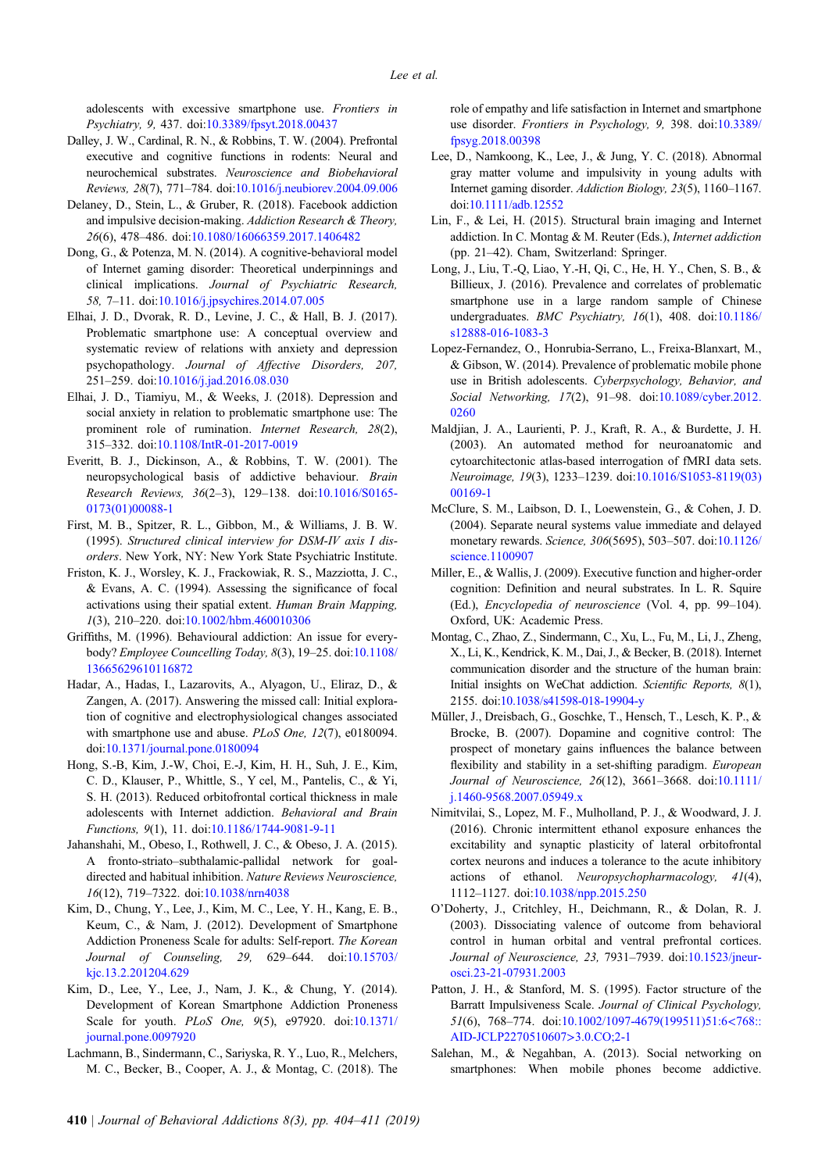<span id="page-6-0"></span>adolescents with excessive smartphone use. Frontiers in Psychiatry, 9, 437. doi[:10.3389/fpsyt.2018.00437](http://dx.doi.org/10.3389/fpsyt.2018.00437)

- Dalley, J. W., Cardinal, R. N., & Robbins, T. W. (2004). Prefrontal executive and cognitive functions in rodents: Neural and neurochemical substrates. Neuroscience and Biobehavioral Reviews, 28(7), 771–784. doi[:10.1016/j.neubiorev.2004.09.006](http://dx.doi.org/10.1016/j.neubiorev.2004.09.006)
- Delaney, D., Stein, L., & Gruber, R. (2018). Facebook addiction and impulsive decision-making. Addiction Research & Theory, 26(6), 478–486. doi[:10.1080/16066359.2017.1406482](http://dx.doi.org/10.1080/16066359.2017.1406482)
- Dong, G., & Potenza, M. N. (2014). A cognitive-behavioral model of Internet gaming disorder: Theoretical underpinnings and clinical implications. Journal of Psychiatric Research, 58, 7–11. doi:[10.1016/j.jpsychires.2014.07.005](http://dx.doi.org/10.1016/j.jpsychires.2014.07.005)
- Elhai, J. D., Dvorak, R. D., Levine, J. C., & Hall, B. J. (2017). Problematic smartphone use: A conceptual overview and systematic review of relations with anxiety and depression psychopathology. Journal of Affective Disorders, 207, 251–259. doi:[10.1016/j.jad.2016.08.030](http://dx.doi.org/10.1016/j.jad.2016.08.030)
- Elhai, J. D., Tiamiyu, M., & Weeks, J. (2018). Depression and social anxiety in relation to problematic smartphone use: The prominent role of rumination. Internet Research, 28(2), 315–332. doi:[10.1108/IntR-01-2017-0019](http://dx.doi.org/10.1108/IntR-01-2017-0019)
- Everitt, B. J., Dickinson, A., & Robbins, T. W. (2001). The neuropsychological basis of addictive behaviour. Brain Research Reviews, 36(2–3), 129–138. doi[:10.1016/S0165-](http://dx.doi.org/10.1016/S0165-0173(01)00088-1) [0173\(01\)00088-1](http://dx.doi.org/10.1016/S0165-0173(01)00088-1)
- First, M. B., Spitzer, R. L., Gibbon, M., & Williams, J. B. W. (1995). Structured clinical interview for DSM-IV axis I disorders. New York, NY: New York State Psychiatric Institute.
- Friston, K. J., Worsley, K. J., Frackowiak, R. S., Mazziotta, J. C., & Evans, A. C. (1994). Assessing the significance of focal activations using their spatial extent. Human Brain Mapping, 1(3), 210–220. doi[:10.1002/hbm.460010306](http://dx.doi.org/10.1002/hbm.460010306)
- Griffiths, M. (1996). Behavioural addiction: An issue for everybody? Employee Councelling Today, 8(3), 19–25. doi:[10.1108/](http://dx.doi.org/10.1108/13665629610116872) [13665629610116872](http://dx.doi.org/10.1108/13665629610116872)
- Hadar, A., Hadas, I., Lazarovits, A., Alyagon, U., Eliraz, D., & Zangen, A. (2017). Answering the missed call: Initial exploration of cognitive and electrophysiological changes associated with smartphone use and abuse. *PLoS One*, 12(7), e0180094. doi:[10.1371/journal.pone.0180094](http://dx.doi.org/10.1371/journal.pone.0180094)
- Hong, S.-B, Kim, J.-W, Choi, E.-J, Kim, H. H., Suh, J. E., Kim, C. D., Klauser, P., Whittle, S., Y cel, M., Pantelis, C., & Yi, S. H. (2013). Reduced orbitofrontal cortical thickness in male adolescents with Internet addiction. Behavioral and Brain Functions, 9(1), 11. doi:[10.1186/1744-9081-9-11](http://dx.doi.org/10.1186/1744-9081-9-11)
- Jahanshahi, M., Obeso, I., Rothwell, J. C., & Obeso, J. A. (2015). A fronto-striato–subthalamic-pallidal network for goaldirected and habitual inhibition. Nature Reviews Neuroscience, 16(12), 719–7322. doi[:10.1038/nrn4038](http://dx.doi.org/10.1038/nrn4038)
- Kim, D., Chung, Y., Lee, J., Kim, M. C., Lee, Y. H., Kang, E. B., Keum, C., & Nam, J. (2012). Development of Smartphone Addiction Proneness Scale for adults: Self-report. The Korean Journal of Counseling, 29, 629–644. doi[:10.15703/](http://dx.doi.org/10.15703/kjc.13.2.201204.629) [kjc.13.2.201204.629](http://dx.doi.org/10.15703/kjc.13.2.201204.629)
- Kim, D., Lee, Y., Lee, J., Nam, J. K., & Chung, Y. (2014). Development of Korean Smartphone Addiction Proneness Scale for youth. PLoS One, 9(5), e97920. doi:[10.1371/](http://dx.doi.org/10.1371/journal.pone.0097920) [journal.pone.0097920](http://dx.doi.org/10.1371/journal.pone.0097920)
- Lachmann, B., Sindermann, C., Sariyska, R. Y., Luo, R., Melchers, M. C., Becker, B., Cooper, A. J., & Montag, C. (2018). The

role of empathy and life satisfaction in Internet and smartphone use disorder. Frontiers in Psychology, 9, 398. doi[:10.3389/](http://dx.doi.org/10.3389/fpsyg.2018.00398) [fpsyg.2018.00398](http://dx.doi.org/10.3389/fpsyg.2018.00398)

- Lee, D., Namkoong, K., Lee, J., & Jung, Y. C. (2018). Abnormal gray matter volume and impulsivity in young adults with Internet gaming disorder. Addiction Biology, 23(5), 1160–1167. doi[:10.1111/adb.12552](http://dx.doi.org/10.1111/adb.12552)
- Lin, F., & Lei, H. (2015). Structural brain imaging and Internet addiction. In C. Montag & M. Reuter (Eds.), Internet addiction (pp. 21–42). Cham, Switzerland: Springer.
- Long, J., Liu, T.-Q, Liao, Y.-H, Qi, C., He, H. Y., Chen, S. B., & Billieux, J. (2016). Prevalence and correlates of problematic smartphone use in a large random sample of Chinese undergraduates. BMC Psychiatry, 16(1), 408. doi[:10.1186/](http://dx.doi.org/10.1186/s12888-016-1083-3) [s12888-016-1083-3](http://dx.doi.org/10.1186/s12888-016-1083-3)
- Lopez-Fernandez, O., Honrubia-Serrano, L., Freixa-Blanxart, M., & Gibson, W. (2014). Prevalence of problematic mobile phone use in British adolescents. Cyberpsychology, Behavior, and Social Networking, 17(2), 91–98. doi[:10.1089/cyber.2012.](http://dx.doi.org/10.1089/cyber.2012.0260) [0260](http://dx.doi.org/10.1089/cyber.2012.0260)
- Maldjian, J. A., Laurienti, P. J., Kraft, R. A., & Burdette, J. H. (2003). An automated method for neuroanatomic and cytoarchitectonic atlas-based interrogation of fMRI data sets. Neuroimage, 19(3), 1233–1239. doi:[10.1016/S1053-8119\(03\)](http://dx.doi.org/10.1016/S1053-8119(03)00169-1) [00169-1](http://dx.doi.org/10.1016/S1053-8119(03)00169-1)
- McClure, S. M., Laibson, D. I., Loewenstein, G., & Cohen, J. D. (2004). Separate neural systems value immediate and delayed monetary rewards. Science, 306(5695), 503–507. doi[:10.1126/](http://dx.doi.org/10.1126/science.1100907) [science.1100907](http://dx.doi.org/10.1126/science.1100907)
- Miller, E., & Wallis, J. (2009). Executive function and higher-order cognition: Definition and neural substrates. In L. R. Squire (Ed.), Encyclopedia of neuroscience (Vol. 4, pp. 99–104). Oxford, UK: Academic Press.
- Montag, C., Zhao, Z., Sindermann, C., Xu, L., Fu, M., Li, J., Zheng, X., Li, K., Kendrick, K. M., Dai, J., & Becker, B. (2018). Internet communication disorder and the structure of the human brain: Initial insights on WeChat addiction. Scientific Reports, 8(1), 2155. doi:[10.1038/s41598-018-19904-y](http://dx.doi.org/10.1038/s41598-018-19904-y)
- Müller, J., Dreisbach, G., Goschke, T., Hensch, T., Lesch, K. P., & Brocke, B. (2007). Dopamine and cognitive control: The prospect of monetary gains influences the balance between flexibility and stability in a set-shifting paradigm. European Journal of Neuroscience, 26(12), 3661–3668. doi[:10.1111/](http://dx.doi.org/10.1111/j.1460-9568.2007.05949.x) [j.1460-9568.2007.05949.x](http://dx.doi.org/10.1111/j.1460-9568.2007.05949.x)
- Nimitvilai, S., Lopez, M. F., Mulholland, P. J., & Woodward, J. J. (2016). Chronic intermittent ethanol exposure enhances the excitability and synaptic plasticity of lateral orbitofrontal cortex neurons and induces a tolerance to the acute inhibitory actions of ethanol. Neuropsychopharmacology, 41(4), 1112–1127. doi[:10.1038/npp.2015.250](http://dx.doi.org/10.1038/npp.2015.250)
- O'Doherty, J., Critchley, H., Deichmann, R., & Dolan, R. J. (2003). Dissociating valence of outcome from behavioral control in human orbital and ventral prefrontal cortices. Journal of Neuroscience, 23, 7931–7939. doi[:10.1523/jneur](http://dx.doi.org/10.1523/jneurosci.23-21-07931.2003)[osci.23-21-07931.2003](http://dx.doi.org/10.1523/jneurosci.23-21-07931.2003)
- Patton, J. H., & Stanford, M. S. (1995). Factor structure of the Barratt Impulsiveness Scale. Journal of Clinical Psychology, 51(6), 768–774. doi[:10.1002/1097-4679\(199511\)51:6](http://dx.doi.org/10.1002/1097-4679(199511)51:6%3C768::AID-JCLP2270510607%3E3.0.CO;2-1)<768:: [AID-JCLP2270510607](http://dx.doi.org/10.1002/1097-4679(199511)51:6%3C768::AID-JCLP2270510607%3E3.0.CO;2-1)>3.0.CO;2-1
- Salehan, M., & Negahban, A. (2013). Social networking on smartphones: When mobile phones become addictive.